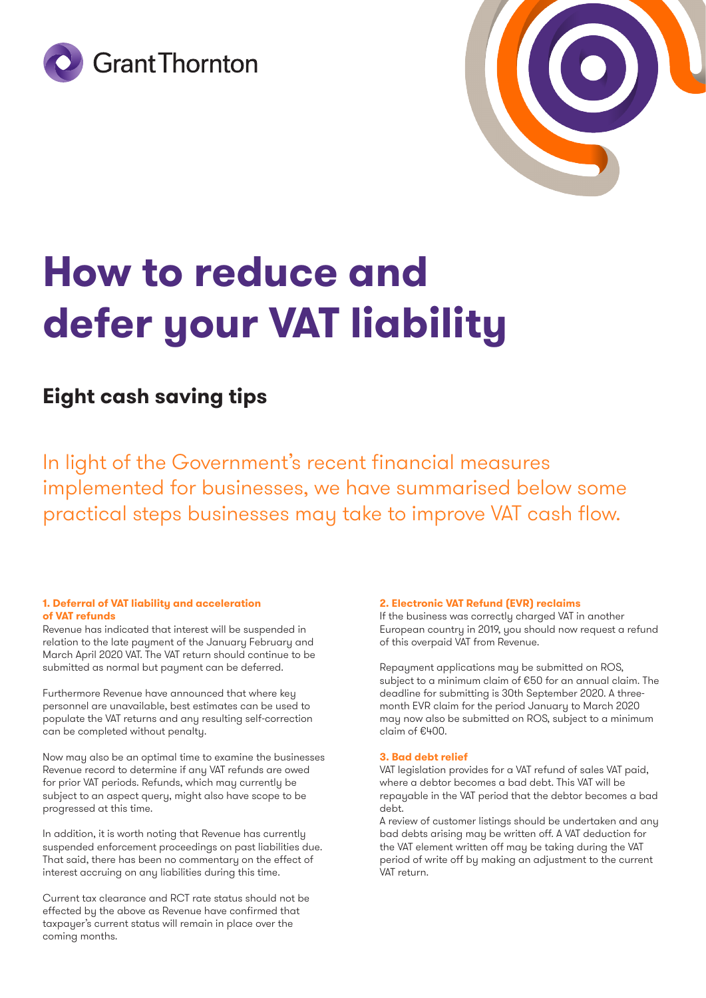



# **How to reduce and defer your VAT liability**

## **Eight cash saving tips**

In light of the Government's recent financial measures implemented for businesses, we have summarised below some practical steps businesses may take to improve VAT cash flow.

#### **1. Deferral of VAT liability and acceleration of VAT refunds**

Revenue has indicated that interest will be suspended in relation to the late payment of the January February and March April 2020 VAT. The VAT return should continue to be submitted as normal but payment can be deferred.

Furthermore Revenue have announced that where key personnel are unavailable, best estimates can be used to populate the VAT returns and any resulting self-correction can be completed without penalty.

Now may also be an optimal time to examine the businesses Revenue record to determine if any VAT refunds are owed for prior VAT periods. Refunds, which may currently be subject to an aspect query, might also have scope to be progressed at this time.

In addition, it is worth noting that Revenue has currently suspended enforcement proceedings on past liabilities due. That said, there has been no commentary on the effect of interest accruing on any liabilities during this time.

Current tax clearance and RCT rate status should not be effected by the above as Revenue have confirmed that taxpayer's current status will remain in place over the coming months.

#### **2. Electronic VAT Refund (EVR) reclaims**

If the business was correctly charged VAT in another European country in 2019, you should now request a refund of this overpaid VAT from Revenue.

Repayment applications may be submitted on ROS, subject to a minimum claim of €50 for an annual claim. The deadline for submitting is 30th September 2020. A threemonth EVR claim for the period January to March 2020 may now also be submitted on ROS, subject to a minimum claim of €400.

#### **3. Bad debt relief**

VAT legislation provides for a VAT refund of sales VAT paid, where a debtor becomes a bad debt. This VAT will be repayable in the VAT period that the debtor becomes a bad debt.

A review of customer listings should be undertaken and any bad debts arising may be written off. A VAT deduction for the VAT element written off may be taking during the VAT period of write off by making an adjustment to the current VAT return.